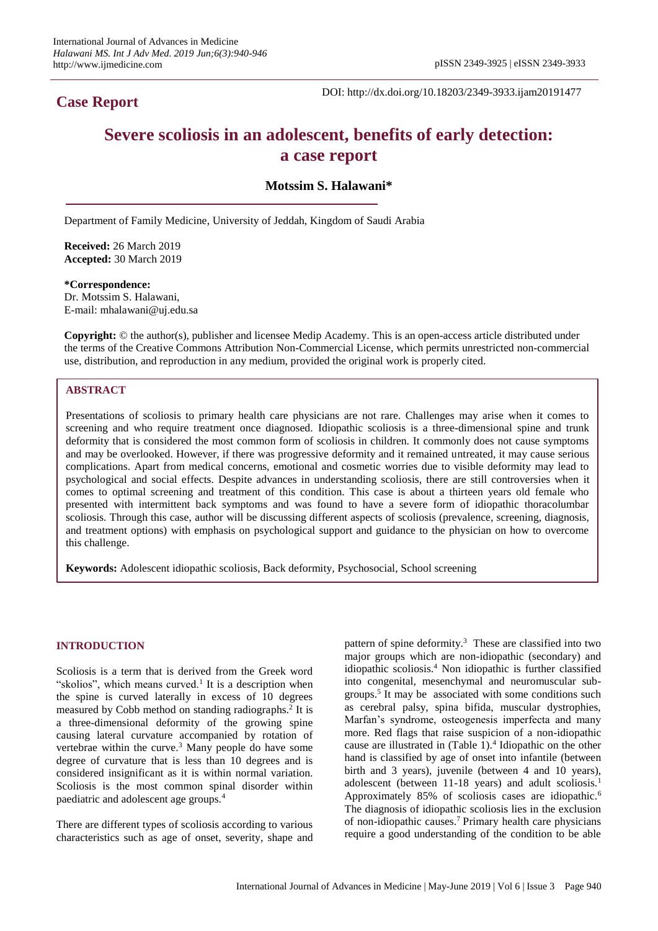# **Case Report**

DOI: http://dx.doi.org/10.18203/2349-3933.ijam20191477

# **Severe scoliosis in an adolescent, benefits of early detection: a case report**

# **Motssim S. Halawani\***

Department of Family Medicine, University of Jeddah, Kingdom of Saudi Arabia

**Received:** 26 March 2019 **Accepted:** 30 March 2019

**\*Correspondence:** Dr. Motssim S. Halawani, E-mail: mhalawani@uj.edu.sa

**Copyright:** © the author(s), publisher and licensee Medip Academy. This is an open-access article distributed under the terms of the Creative Commons Attribution Non-Commercial License, which permits unrestricted non-commercial use, distribution, and reproduction in any medium, provided the original work is properly cited.

### **ABSTRACT**

Presentations of scoliosis to primary health care physicians are not rare. Challenges may arise when it comes to screening and who require treatment once diagnosed. Idiopathic scoliosis is a three-dimensional spine and trunk deformity that is considered the most common form of scoliosis in children. It commonly does not cause symptoms and may be overlooked. However, if there was progressive deformity and it remained untreated, it may cause serious complications. Apart from medical concerns, emotional and cosmetic worries due to visible deformity may lead to psychological and social effects. Despite advances in understanding scoliosis, there are still controversies when it comes to optimal screening and treatment of this condition. This case is about a thirteen years old female who presented with intermittent back symptoms and was found to have a severe form of idiopathic thoracolumbar scoliosis. Through this case, author will be discussing different aspects of scoliosis (prevalence, screening, diagnosis, and treatment options) with emphasis on psychological support and guidance to the physician on how to overcome this challenge.

**Keywords:** Adolescent idiopathic scoliosis, Back deformity, Psychosocial, School screening

#### **INTRODUCTION**

Scoliosis is a term that is derived from the Greek word "skolios", which means curved.<sup>1</sup> It is a description when the spine is curved laterally in excess of 10 degrees measured by Cobb method on standing radiographs.<sup>2</sup> It is a three-dimensional deformity of the growing spine causing lateral curvature accompanied by rotation of vertebrae within the curve. $3$  Many people do have some degree of curvature that is less than 10 degrees and is considered insignificant as it is within normal variation. Scoliosis is the most common spinal disorder within paediatric and adolescent age groups.<sup>4</sup>

There are different types of scoliosis according to various characteristics such as age of onset, severity, shape and

pattern of spine deformity.<sup>3</sup> These are classified into two major groups which are non-idiopathic (secondary) and idiopathic scoliosis.<sup>4</sup> Non idiopathic is further classified into congenital, mesenchymal and neuromuscular subgroups.<sup>5</sup> It may be associated with some conditions such as cerebral palsy, spina bifida, muscular dystrophies, Marfan's syndrome, osteogenesis imperfecta and many more. Red flags that raise suspicion of a non-idiopathic cause are illustrated in (Table 1).<sup>4</sup> Idiopathic on the other hand is classified by age of onset into infantile (between birth and 3 years), juvenile (between 4 and 10 years), adolescent (between 11-18 years) and adult scoliosis.<sup>1</sup> Approximately 85% of scoliosis cases are idiopathic.<sup>6</sup> The diagnosis of idiopathic scoliosis lies in the exclusion of non-idiopathic causes.<sup>7</sup> Primary health care physicians require a good understanding of the condition to be able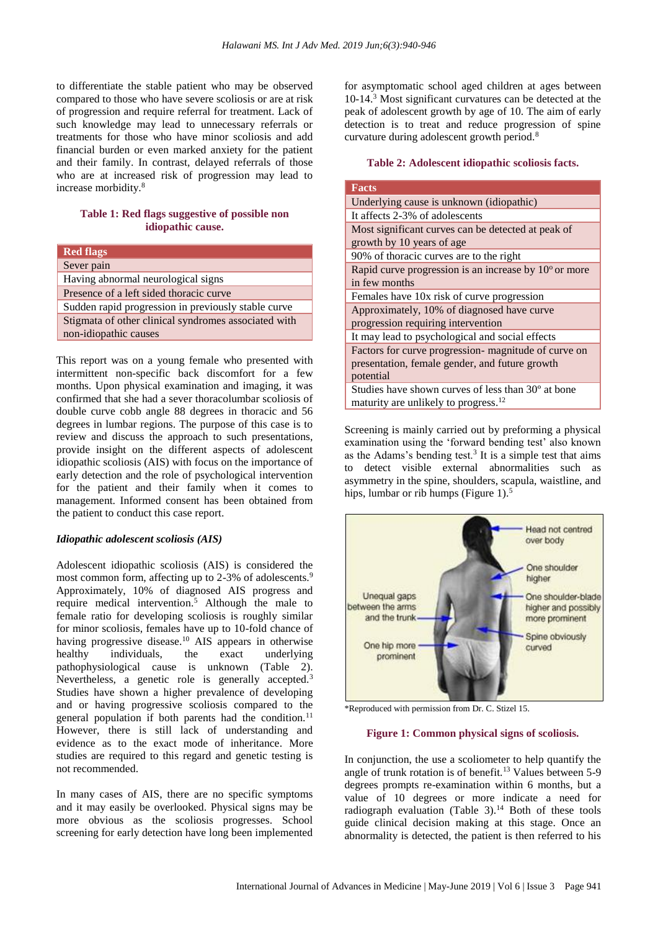to differentiate the stable patient who may be observed compared to those who have severe scoliosis or are at risk of progression and require referral for treatment. Lack of such knowledge may lead to unnecessary referrals or treatments for those who have minor scoliosis and add financial burden or even marked anxiety for the patient and their family. In contrast, delayed referrals of those who are at increased risk of progression may lead to increase morbidity.<sup>8</sup>

# **Table 1: Red flags suggestive of possible non idiopathic cause.**

| <b>Red flags</b>                                     |  |  |
|------------------------------------------------------|--|--|
| Sever pain                                           |  |  |
| Having abnormal neurological signs                   |  |  |
| Presence of a left sided thoracic curve              |  |  |
| Sudden rapid progression in previously stable curve  |  |  |
| Stigmata of other clinical syndromes associated with |  |  |
| non-idiopathic causes                                |  |  |

This report was on a young female who presented with intermittent non-specific back discomfort for a few months. Upon physical examination and imaging, it was confirmed that she had a sever thoracolumbar scoliosis of double curve cobb angle 88 degrees in thoracic and 56 degrees in lumbar regions. The purpose of this case is to review and discuss the approach to such presentations, provide insight on the different aspects of adolescent idiopathic scoliosis (AIS) with focus on the importance of early detection and the role of psychological intervention for the patient and their family when it comes to management. Informed consent has been obtained from the patient to conduct this case report.

#### *Idiopathic adolescent scoliosis (AIS)*

Adolescent idiopathic scoliosis (AIS) is considered the most common form, affecting up to 2-3% of adolescents.<sup>9</sup> Approximately, 10% of diagnosed AIS progress and require medical intervention.<sup>5</sup> Although the male to female ratio for developing scoliosis is roughly similar for minor scoliosis, females have up to 10-fold chance of having progressive disease.<sup>10</sup> AIS appears in otherwise healthy individuals, the exact underlying pathophysiological cause is unknown (Table 2). Nevertheless, a genetic role is generally accepted.<sup>3</sup> Studies have shown a higher prevalence of developing and or having progressive scoliosis compared to the general population if both parents had the condition.<sup>11</sup> However, there is still lack of understanding and evidence as to the exact mode of inheritance. More studies are required to this regard and genetic testing is not recommended.

In many cases of AIS, there are no specific symptoms and it may easily be overlooked. Physical signs may be more obvious as the scoliosis progresses. School screening for early detection have long been implemented for asymptomatic school aged children at ages between 10-14.<sup>3</sup> Most significant curvatures can be detected at the peak of adolescent growth by age of 10. The aim of early detection is to treat and reduce progression of spine curvature during adolescent growth period.<sup>8</sup>

#### **Table 2: Adolescent idiopathic scoliosis facts.**

| <b>Facts</b>                                                                                                       |  |  |
|--------------------------------------------------------------------------------------------------------------------|--|--|
| Underlying cause is unknown (idiopathic)                                                                           |  |  |
| It affects 2-3% of adolescents                                                                                     |  |  |
| Most significant curves can be detected at peak of<br>growth by 10 years of age                                    |  |  |
| 90% of thoracic curves are to the right                                                                            |  |  |
| Rapid curve progression is an increase by $10^{\circ}$ or more<br>in few months                                    |  |  |
| Females have 10x risk of curve progression                                                                         |  |  |
| Approximately, 10% of diagnosed have curve<br>progression requiring intervention                                   |  |  |
| It may lead to psychological and social effects                                                                    |  |  |
| Factors for curve progression-magnitude of curve on<br>presentation, female gender, and future growth<br>potential |  |  |
| Studies have shown curves of less than 30 <sup>°</sup> at bone<br>maturity are unlikely to progress. <sup>12</sup> |  |  |

Screening is mainly carried out by preforming a physical examination using the 'forward bending test' also known as the Adams's bending test. $3$  It is a simple test that aims to detect visible external abnormalities such as asymmetry in the spine, shoulders, scapula, waistline, and hips, lumbar or rib humps (Figure 1).<sup>5</sup>



\*Reproduced with permission from Dr. C. Stizel 15.

#### **Figure 1: Common physical signs of scoliosis.**

In conjunction, the use a scoliometer to help quantify the angle of trunk rotation is of benefit.<sup>13</sup> Values between  $5-9$ degrees prompts re-examination within 6 months, but a value of 10 degrees or more indicate a need for radiograph evaluation (Table 3).<sup>14</sup> Both of these tools guide clinical decision making at this stage. Once an abnormality is detected, the patient is then referred to his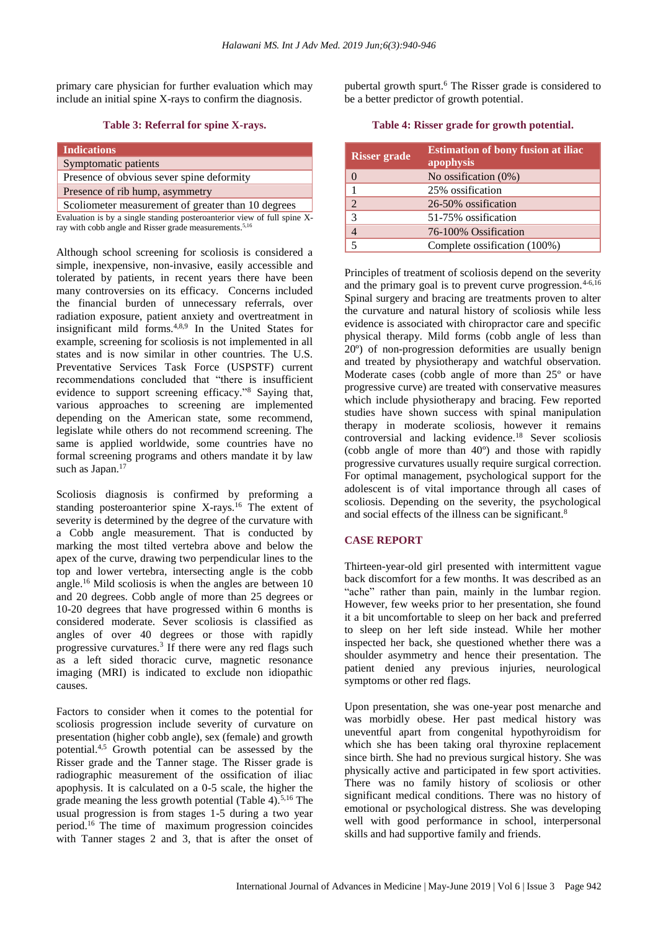primary care physician for further evaluation which may include an initial spine X-rays to confirm the diagnosis.

#### **Table 3: Referral for spine X-rays.**

| <b>Indications</b>                                 |  |
|----------------------------------------------------|--|
| Symptomatic patients                               |  |
| Presence of obvious sever spine deformity          |  |
| Presence of rib hump, asymmetry                    |  |
| Scoliometer measurement of greater than 10 degrees |  |
|                                                    |  |

Evaluation is by a single standing posteroanterior view of full spine Xray with cobb angle and Risser grade measurements.<sup>5,16</sup>

Although school screening for scoliosis is considered a simple, inexpensive, non-invasive, easily accessible and tolerated by patients, in recent years there have been many controversies on its efficacy. Concerns included the financial burden of unnecessary referrals, over radiation exposure, patient anxiety and overtreatment in insignificant mild forms.4,8,9 In the United States for example, screening for scoliosis is not implemented in all states and is now similar in other countries. The U.S. Preventative Services Task Force (USPSTF) current recommendations concluded that "there is insufficient evidence to support screening efficacy."<sup>8</sup> Saying that, various approaches to screening are implemented depending on the American state, some recommend, legislate while others do not recommend screening. The same is applied worldwide, some countries have no formal screening programs and others mandate it by law such as Japan.<sup>17</sup>

Scoliosis diagnosis is confirmed by preforming a standing posteroanterior spine X-rays.<sup>16</sup> The extent of severity is determined by the degree of the curvature with a Cobb angle measurement. That is conducted by marking the most tilted vertebra above and below the apex of the curve, drawing two perpendicular lines to the top and lower vertebra, intersecting angle is the cobb angle.<sup>16</sup> Mild scoliosis is when the angles are between 10 and 20 degrees. Cobb angle of more than 25 degrees or 10-20 degrees that have progressed within 6 months is considered moderate. Sever scoliosis is classified as angles of over 40 degrees or those with rapidly progressive curvatures.<sup>3</sup> If there were any red flags such as a left sided thoracic curve, magnetic resonance imaging (MRI) is indicated to exclude non idiopathic causes.

Factors to consider when it comes to the potential for scoliosis progression include severity of curvature on presentation (higher cobb angle), sex (female) and growth potential.4,5 Growth potential can be assessed by the Risser grade and the Tanner stage. The Risser grade is radiographic measurement of the ossification of iliac apophysis. It is calculated on a 0-5 scale, the higher the grade meaning the less growth potential (Table 4). $5,16$  The usual progression is from stages 1-5 during a two year period.<sup>16</sup> The time of maximum progression coincides with Tanner stages 2 and 3, that is after the onset of pubertal growth spurt.<sup>6</sup> The Risser grade is considered to be a better predictor of growth potential.

**Table 4: Risser grade for growth potential.**

| <b>Risser grade</b> | <b>Estimation of bony fusion at iliac</b><br>apophysis |
|---------------------|--------------------------------------------------------|
| $\overline{0}$      | No ossification $(0\%)$                                |
|                     | 25% ossification                                       |
| $\mathfrak{D}$      | 26-50% ossification                                    |
| 3                   | 51-75% ossification                                    |
|                     | 76-100% Ossification                                   |
| 5                   | Complete ossification (100%)                           |

Principles of treatment of scoliosis depend on the severity and the primary goal is to prevent curve progression. $4-6,16$ Spinal surgery and bracing are treatments proven to alter the curvature and natural history of scoliosis while less evidence is associated with chiropractor care and specific physical therapy. Mild forms (cobb angle of less than 20º) of non-progression deformities are usually benign and treated by physiotherapy and watchful observation. Moderate cases (cobb angle of more than 25º or have progressive curve) are treated with conservative measures which include physiotherapy and bracing. Few reported studies have shown success with spinal manipulation therapy in moderate scoliosis, however it remains controversial and lacking evidence.<sup>18</sup> Sever scoliosis (cobb angle of more than 40º) and those with rapidly progressive curvatures usually require surgical correction. For optimal management, psychological support for the adolescent is of vital importance through all cases of scoliosis. Depending on the severity, the psychological and social effects of the illness can be significant.<sup>8</sup>

## **CASE REPORT**

Thirteen-year-old girl presented with intermittent vague back discomfort for a few months. It was described as an "ache" rather than pain, mainly in the lumbar region. However, few weeks prior to her presentation, she found it a bit uncomfortable to sleep on her back and preferred to sleep on her left side instead. While her mother inspected her back, she questioned whether there was a shoulder asymmetry and hence their presentation. The patient denied any previous injuries, neurological symptoms or other red flags.

Upon presentation, she was one-year post menarche and was morbidly obese. Her past medical history was uneventful apart from congenital hypothyroidism for which she has been taking oral thyroxine replacement since birth. She had no previous surgical history. She was physically active and participated in few sport activities. There was no family history of scoliosis or other significant medical conditions. There was no history of emotional or psychological distress. She was developing well with good performance in school, interpersonal skills and had supportive family and friends.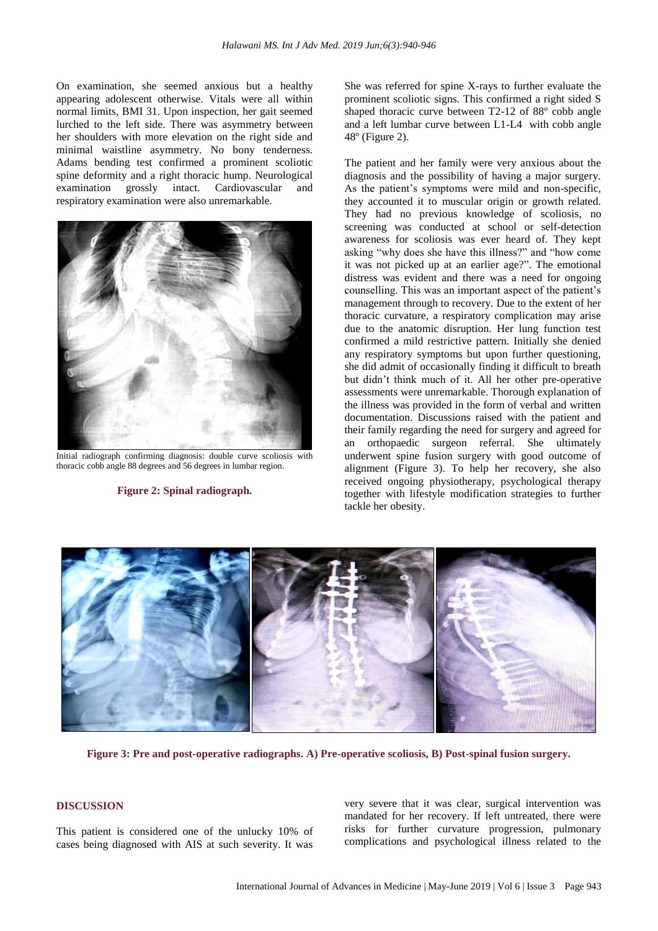On examination, she seemed anxious but a healthy appearing adolescent otherwise. Vitals were all within normal limits, BMI 31. Upon inspection, her gait seemed lurched to the left side. There was asymmetry between her shoulders with more elevation on the right side and minimal waistline asymmetry. No bony tenderness. Adams bending test confirmed a prominent scoliotic spine deformity and a right thoracic hump. Neurological examination grossly intact. Cardiovascular and respiratory examination were also unremarkable.



Initial radiograph confirming diagnosis: double curve scoliosis with thoracic cobb angle 88 degrees and 56 degrees in lumbar region.

#### **Figure 2: Spinal radiograph.**

She was referred for spine X-rays to further evaluate the prominent scoliotic signs. This confirmed a right sided S shaped thoracic curve between T2-12 of 88º cobb angle and a left lumbar curve between L1-L4 with cobb angle 48º (Figure 2).

The patient and her family were very anxious about the diagnosis and the possibility of having a major surgery. As the patient's symptoms were mild and non-specific, they accounted it to muscular origin or growth related. They had no previous knowledge of scoliosis, no screening was conducted at school or self-detection awareness for scoliosis was ever heard of. They kept asking "why does she have this illness?" and "how come it was not picked up at an earlier age?". The emotional distress was evident and there was a need for ongoing counselling. This was an important aspect of the patient's management through to recovery. Due to the extent of her thoracic curvature, a respiratory complication may arise due to the anatomic disruption. Her lung function test confirmed a mild restrictive pattern. Initially she denied any respiratory symptoms but upon further questioning, she did admit of occasionally finding it difficult to breath but didn't think much of it. All her other pre-operative assessments were unremarkable. Thorough explanation of the illness was provided in the form of verbal and written documentation. Discussions raised with the patient and their family regarding the need for surgery and agreed for an orthopaedic surgeon referral. She ultimately underwent spine fusion surgery with good outcome of alignment (Figure 3). To help her recovery, she also received ongoing physiotherapy, psychological therapy together with lifestyle modification strategies to further tackle her obesity.



**Figure 3: Pre and post-operative radiographs. A) Pre-operative scoliosis, B) Post-spinal fusion surgery.**

#### **DISCUSSION**

This patient is considered one of the unlucky 10% of cases being diagnosed with AIS at such severity. It was very severe that it was clear, surgical intervention was mandated for her recovery. If left untreated, there were risks for further curvature progression, pulmonary complications and psychological illness related to the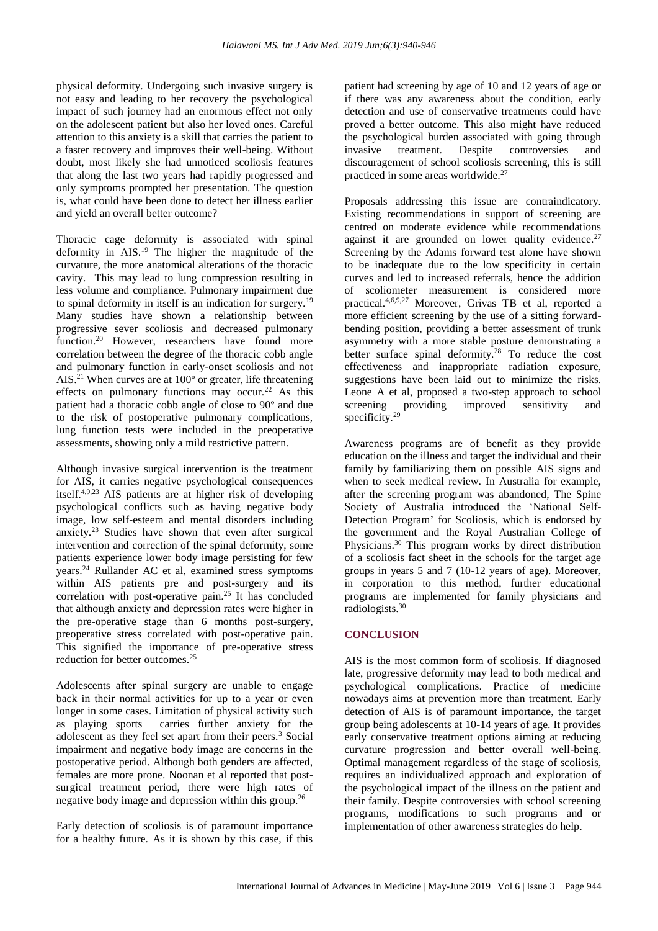physical deformity. Undergoing such invasive surgery is not easy and leading to her recovery the psychological impact of such journey had an enormous effect not only on the adolescent patient but also her loved ones. Careful attention to this anxiety is a skill that carries the patient to a faster recovery and improves their well-being. Without doubt, most likely she had unnoticed scoliosis features that along the last two years had rapidly progressed and only symptoms prompted her presentation. The question is, what could have been done to detect her illness earlier and yield an overall better outcome?

Thoracic cage deformity is associated with spinal deformity in AIS.<sup>19</sup> The higher the magnitude of the curvature, the more anatomical alterations of the thoracic cavity. This may lead to lung compression resulting in less volume and compliance. Pulmonary impairment due to spinal deformity in itself is an indication for surgery.<sup>19</sup> Many studies have shown a relationship between progressive sever scoliosis and decreased pulmonary function.<sup>20</sup> However, researchers have found more correlation between the degree of the thoracic cobb angle and pulmonary function in early-onset scoliosis and not AIS.<sup>21</sup> When curves are at 100º or greater, life threatening effects on pulmonary functions may occur.<sup>22</sup> As this patient had a thoracic cobb angle of close to 90º and due to the risk of postoperative pulmonary complications, lung function tests were included in the preoperative assessments, showing only a mild restrictive pattern.

Although invasive surgical intervention is the treatment for AIS, it carries negative psychological consequences itself.4,9,23 AIS patients are at higher risk of developing psychological conflicts such as having negative body image, low self-esteem and mental disorders including anxiety.<sup>23</sup> Studies have shown that even after surgical intervention and correction of the spinal deformity, some patients experience lower body image persisting for few years.<sup>24</sup> Rullander AC et al, examined stress symptoms within AIS patients pre and post-surgery and its correlation with post-operative pain.<sup>25</sup> It has concluded that although anxiety and depression rates were higher in the pre-operative stage than 6 months post-surgery, preoperative stress correlated with post-operative pain. This signified the importance of pre-operative stress reduction for better outcomes.<sup>25</sup>

Adolescents after spinal surgery are unable to engage back in their normal activities for up to a year or even longer in some cases. Limitation of physical activity such as playing sports carries further anxiety for the adolescent as they feel set apart from their peers.<sup>3</sup> Social impairment and negative body image are concerns in the postoperative period. Although both genders are affected, females are more prone. Noonan et al reported that postsurgical treatment period, there were high rates of negative body image and depression within this group.<sup>26</sup>

Early detection of scoliosis is of paramount importance for a healthy future. As it is shown by this case, if this patient had screening by age of 10 and 12 years of age or if there was any awareness about the condition, early detection and use of conservative treatments could have proved a better outcome. This also might have reduced the psychological burden associated with going through invasive treatment. Despite controversies and discouragement of school scoliosis screening, this is still practiced in some areas worldwide.<sup>27</sup>

Proposals addressing this issue are contraindicatory. Existing recommendations in support of screening are centred on moderate evidence while recommendations against it are grounded on lower quality evidence.<sup>27</sup> Screening by the Adams forward test alone have shown to be inadequate due to the low specificity in certain curves and led to increased referrals, hence the addition of scoliometer measurement is considered more practical.4,6,9,27 Moreover, Grivas TB et al, reported a more efficient screening by the use of a sitting forwardbending position, providing a better assessment of trunk asymmetry with a more stable posture demonstrating a better surface spinal deformity.<sup>28</sup> To reduce the cost effectiveness and inappropriate radiation exposure, suggestions have been laid out to minimize the risks. Leone A et al, proposed a two-step approach to school screening providing improved sensitivity and specificity.<sup>29</sup>

Awareness programs are of benefit as they provide education on the illness and target the individual and their family by familiarizing them on possible AIS signs and when to seek medical review. In Australia for example, after the screening program was abandoned, The Spine Society of Australia introduced the 'National Self-Detection Program' for Scoliosis, which is endorsed by the government and the Royal Australian College of Physicians.<sup>30</sup> This program works by direct distribution of a scoliosis fact sheet in the schools for the target age groups in years 5 and 7 (10-12 years of age). Moreover, in corporation to this method, further educational programs are implemented for family physicians and radiologists.<sup>30</sup>

# **CONCLUSION**

AIS is the most common form of scoliosis. If diagnosed late, progressive deformity may lead to both medical and psychological complications. Practice of medicine nowadays aims at prevention more than treatment. Early detection of AIS is of paramount importance, the target group being adolescents at 10-14 years of age. It provides early conservative treatment options aiming at reducing curvature progression and better overall well-being. Optimal management regardless of the stage of scoliosis, requires an individualized approach and exploration of the psychological impact of the illness on the patient and their family. Despite controversies with school screening programs, modifications to such programs and or implementation of other awareness strategies do help.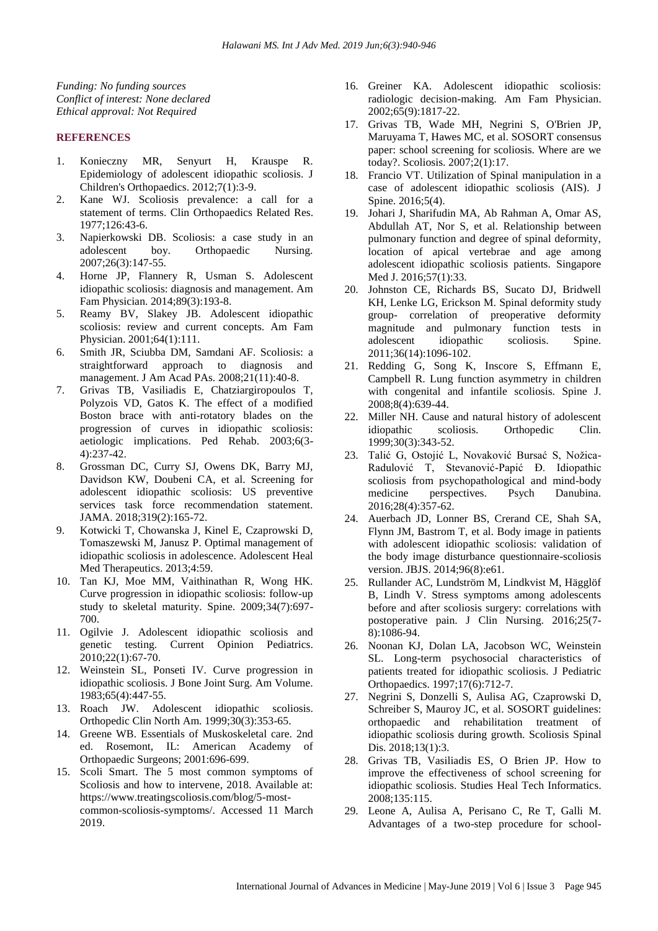*Funding: No funding sources Conflict of interest: None declared Ethical approval: Not Required*

#### **REFERENCES**

- 1. Konieczny MR, Senyurt H, Krauspe R. Epidemiology of adolescent idiopathic scoliosis. J Children's Orthopaedics. 2012;7(1):3-9.
- 2. Kane WJ. Scoliosis prevalence: a call for a statement of terms. Clin Orthopaedics Related Res. 1977;126:43-6.
- 3. Napierkowski DB. Scoliosis: a case study in an adolescent boy. Orthopaedic Nursing. 2007;26(3):147-55.
- 4. Horne JP, Flannery R, Usman S. Adolescent idiopathic scoliosis: diagnosis and management. Am Fam Physician. 2014;89(3):193-8.
- 5. Reamy BV, Slakey JB. Adolescent idiopathic scoliosis: review and current concepts. Am Fam Physician. 2001;64(1):111.
- 6. Smith JR, Sciubba DM, Samdani AF. Scoliosis: a straightforward approach to diagnosis and management. J Am Acad PAs. 2008;21(11):40-8.
- 7. Grivas TB, Vasiliadis E, Chatziargiropoulos T, Polyzois VD, Gatos K. The effect of a modified Boston brace with anti-rotatory blades on the progression of curves in idiopathic scoliosis: aetiologic implications. Ped Rehab. 2003;6(3- 4):237-42.
- 8. Grossman DC, Curry SJ, Owens DK, Barry MJ, Davidson KW, Doubeni CA, et al. Screening for adolescent idiopathic scoliosis: US preventive services task force recommendation statement. JAMA. 2018;319(2):165-72.
- 9. Kotwicki T, Chowanska J, Kinel E, Czaprowski D, Tomaszewski M, Janusz P. Optimal management of idiopathic scoliosis in adolescence. Adolescent Heal Med Therapeutics. 2013;4:59.
- 10. Tan KJ, Moe MM, Vaithinathan R, Wong HK. Curve progression in idiopathic scoliosis: follow-up study to skeletal maturity. Spine. 2009;34(7):697- 700.
- 11. Ogilvie J. Adolescent idiopathic scoliosis and genetic testing. Current Opinion Pediatrics. 2010;22(1):67-70.
- 12. Weinstein SL, Ponseti IV. Curve progression in idiopathic scoliosis. J Bone Joint Surg. Am Volume. 1983;65(4):447-55.
- 13. Roach JW. Adolescent idiopathic scoliosis. Orthopedic Clin North Am. 1999;30(3):353-65.
- 14. Greene WB. Essentials of Muskoskeletal care. 2nd ed. Rosemont, IL: American Academy of Orthopaedic Surgeons; 2001:696-699.
- 15. Scoli Smart. The 5 most common symptoms of Scoliosis and how to intervene, 2018. Available at: https://www.treatingscoliosis.com/blog/5-mostcommon-scoliosis-symptoms/. Accessed 11 March 2019.
- 16. Greiner KA. Adolescent idiopathic scoliosis: radiologic decision-making. Am Fam Physician. 2002;65(9):1817-22.
- 17. Grivas TB, Wade MH, Negrini S, O'Brien JP, Maruyama T, Hawes MC, et al. SOSORT consensus paper: school screening for scoliosis. Where are we today?. Scoliosis. 2007;2(1):17.
- 18. Francio VT. Utilization of Spinal manipulation in a case of adolescent idiopathic scoliosis (AIS). J Spine. 2016;5(4).
- 19. Johari J, Sharifudin MA, Ab Rahman A, Omar AS, Abdullah AT, Nor S, et al. Relationship between pulmonary function and degree of spinal deformity, location of apical vertebrae and age among adolescent idiopathic scoliosis patients. Singapore Med J. 2016;57(1):33.
- 20. Johnston CE, Richards BS, Sucato DJ, Bridwell KH, Lenke LG, Erickson M. Spinal deformity study group- correlation of preoperative deformity magnitude and pulmonary function tests in adolescent idiopathic scoliosis. Spine. 2011;36(14):1096-102.
- 21. Redding G, Song K, Inscore S, Effmann E, Campbell R. Lung function asymmetry in children with congenital and infantile scoliosis. Spine J. 2008;8(4):639-44.
- 22. Miller NH. Cause and natural history of adolescent idiopathic scoliosis. Orthopedic Clin. 1999;30(3):343-52.
- 23. Talić G, Ostojić L, Novaković Bursać S, Nožica-Radulović T, Stevanović-Papić Đ. Idiopathic scoliosis from psychopathological and mind-body medicine perspectives. Psych Danubina. 2016;28(4):357-62.
- 24. Auerbach JD, Lonner BS, Crerand CE, Shah SA, Flynn JM, Bastrom T, et al. Body image in patients with adolescent idiopathic scoliosis: validation of the body image disturbance questionnaire-scoliosis version. JBJS. 2014;96(8):e61.
- 25. Rullander AC, Lundström M, Lindkvist M, Hägglöf B, Lindh V. Stress symptoms among adolescents before and after scoliosis surgery: correlations with postoperative pain. J Clin Nursing. 2016;25(7- 8):1086-94.
- 26. Noonan KJ, Dolan LA, Jacobson WC, Weinstein SL. Long-term psychosocial characteristics of patients treated for idiopathic scoliosis. J Pediatric Orthopaedics. 1997;17(6):712-7.
- 27. Negrini S, Donzelli S, Aulisa AG, Czaprowski D, Schreiber S, Mauroy JC, et al. SOSORT guidelines: orthopaedic and rehabilitation treatment of idiopathic scoliosis during growth. Scoliosis Spinal Dis. 2018;13(1):3.
- 28. Grivas TB, Vasiliadis ES, O Brien JP. How to improve the effectiveness of school screening for idiopathic scoliosis. Studies Heal Tech Informatics. 2008;135:115.
- 29. Leone A, Aulisa A, Perisano C, Re T, Galli M. Advantages of a two-step procedure for school-